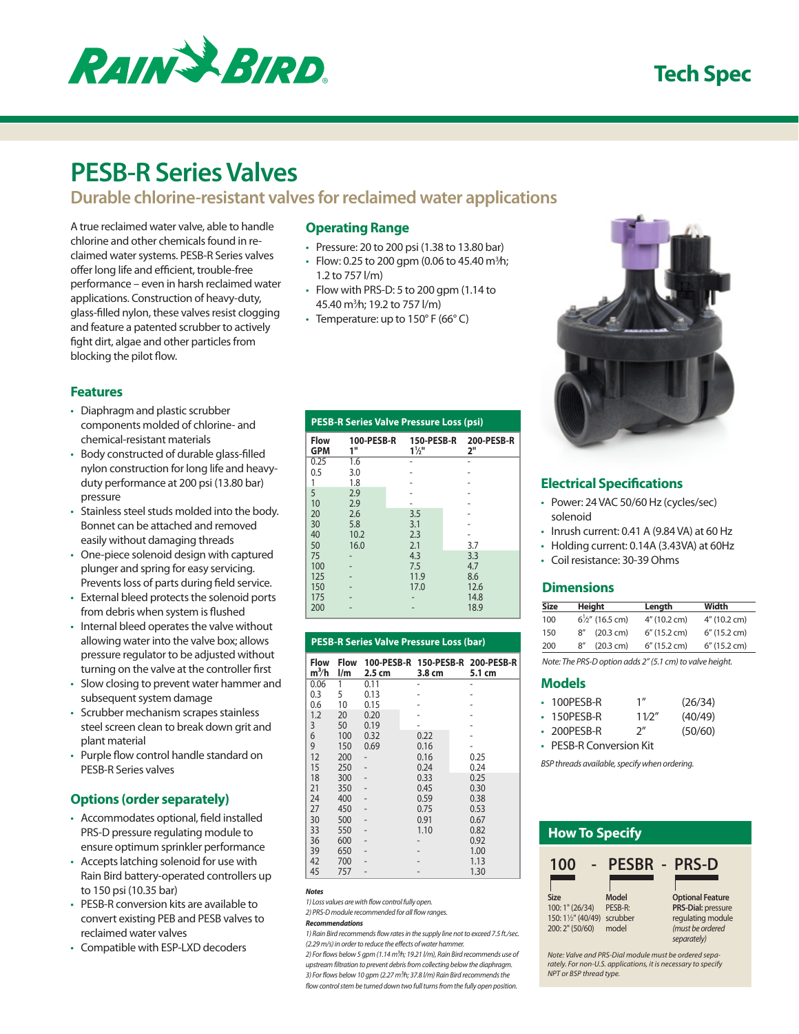

## **Tech Spec**

# **PESB-R Series Valves**

## **Durable chlorine-resistant valves for reclaimed water applications**

A true reclaimed water valve, able to handle chlorine and other chemicals found in reclaimed water systems. PESB-R Series valves offer long life and efficient, trouble-free performance – even in harsh reclaimed water applications. Construction of heavy-duty, glass-filled nylon, these valves resist clogging and feature a patented scrubber to actively fight dirt, algae and other particles from blocking the pilot flow.

### **Operating Range**

- $\cdot$  Pressure: 20 to 200 psi (1.38 to 13.80 bar)
- Flow: 0.25 to 200 gpm (0.06 to 45.40 m ${}^{3h}$ ); 1.2 to 757 l/m)
- $\cdot$  Flow with PRS-D: 5 to 200 gpm (1.14 to 45.40 m3 ⁄h; 19.2 to 757 l/m)
- Temperature: up to  $150^{\circ}$  F (66 $^{\circ}$  C)

#### **Features**

- Diaphragm and plastic scrubber components molded of chlorine- and chemical-resistant materials
- Body constructed of durable glass-filled nylon construction for long life and heavyduty performance at 200 psi (13.80 bar) pressure
- Stainless steel studs molded into the body. Bonnet can be attached and removed easily without damaging threads
- One-piece solenoid design with captured plunger and spring for easy servicing. Prevents loss of parts during field service.
- • External bleed protects the solenoid ports from debris when system is flushed
- Internal bleed operates the valve without allowing water into the valve box; allows pressure regulator to be adjusted without turning on the valve at the controller first
- Slow closing to prevent water hammer and subsequent system damage
- Scrubber mechanism scrapes stainless steel screen clean to break down grit and plant material
- Purple flow control handle standard on PESB-R Series valves

#### **Options (order separately)**

- • Accommodates optional, field installed PRS-D pressure regulating module to ensure optimum sprinkler performance
- Accepts latching solenoid for use with Rain Bird battery-operated controllers up to 150 psi (10.35 bar)
- PESB-R conversion kits are available to convert existing PEB and PESB valves to reclaimed water valves
- Compatible with ESP-LXD decoders

| <b>PESB-R Series Valve Pressure Loss (psi)</b> |                  |                                |                  |  |  |
|------------------------------------------------|------------------|--------------------------------|------------------|--|--|
| <b>Flow</b><br><b>GPM</b>                      | 100-PESB-R<br>1" | 150-PESB-R<br>$1\frac{1}{2}$ " | 200-PESB-R<br>2" |  |  |
| 0.25                                           | 1.6              |                                |                  |  |  |
| 0.5                                            | 3.0              |                                |                  |  |  |
| 1                                              | 1.8              |                                |                  |  |  |
| 5                                              | 2.9              |                                |                  |  |  |
| 10                                             | 2.9              |                                |                  |  |  |
| 20                                             | 2.6              | 3.5                            |                  |  |  |
| 30                                             | 5.8              | 3.1                            |                  |  |  |
| 40                                             | 10.2             | 2.3                            |                  |  |  |
| 50                                             | 16.0             | 2.1                            | 3.7              |  |  |
| 75                                             |                  | 4.3                            | 3.3              |  |  |
| 100                                            |                  | 7.5                            | 4.7              |  |  |
| 125                                            |                  | 11.9                           | 8.6              |  |  |
| 150                                            |                  | 17.0                           | 12.6             |  |  |
| 175                                            |                  |                                | 14.8             |  |  |
| 200                                            |                  |                                | 18.9             |  |  |

|                           | <b>PESB-R Series Valve Pressure Loss (bar)</b> |        |        |                                                 |
|---------------------------|------------------------------------------------|--------|--------|-------------------------------------------------|
| Flow<br>m <sup>3</sup> /h | $\mathsf{I}/\mathsf{m}$                        | 2.5 cm | 3.8 cm | Flow 100-PESB-R 150-PESB-R 200-PESB-R<br>5.1 cm |
| 0.06                      | 1                                              | 0.11   |        |                                                 |
| 0.3                       | 5                                              | 0.13   |        |                                                 |
| 0.6                       | 10                                             | 0.15   |        |                                                 |
| 1.2                       | 20                                             | 0.20   |        |                                                 |
| 3                         | 50                                             | 0.19   |        |                                                 |
| 6                         | 100                                            | 0.32   | 0.22   |                                                 |
| 9                         | 150                                            | 0.69   | 0.16   |                                                 |
| 12                        | 200                                            |        | 0.16   | 0.25                                            |
| 15                        | 250                                            |        | 0.24   | 0.24                                            |
| 18                        | 300                                            |        | 0.33   | 0.25                                            |
| 21                        | 350                                            |        | 0.45   | 0.30                                            |
| 24                        | 400                                            |        | 0.59   | 0.38                                            |
| 27                        | 450                                            |        | 0.75   | 0.53                                            |
| 30                        | 500                                            |        | 0.91   | 0.67                                            |
| 33                        | 550                                            |        | 1.10   | 0.82                                            |
| 36                        | 600                                            |        |        | 0.92                                            |
| 39                        | 650                                            |        |        | 1.00                                            |
| 42                        | 700                                            |        |        | 1.13                                            |
| 45                        | 757                                            |        |        | 1.30                                            |

#### *Notes*

*1) Loss values are with flow control fully open.*

*2) PRS-D module recommended for all flow ranges.*

#### *Recommendations*

*1) Rain Bird recommends flow rates in the supply line not to exceed 7.5 ft./sec. (2.29 m/s) in order to reduce the effects of water hammer.*

*2) For flows below 5 gpm (1.14 m3⁄h; 19.21 l/m), Rain Bird recommends use of upstream filtration to prevent debris from collecting below the diaphragm. 3) For flows below 10 gpm (2.27 m3⁄h; 37.8 l/m) Rain Bird recommends the flow control stem be turned down two full turns from the fully open position.*



### **Electrical Specifications**

- • Power: 24 VAC 50/60 Hz (cycles/sec) solenoid
- $\cdot$  Inrush current: 0.41 A (9.84 VA) at 60 Hz
- Holding current: 0.14A (3.43VA) at 60Hz
- • Coil resistance: 30-39 Ohms

#### **Dimensions**

| <b>Size</b> |     | Height                     | Length          | Width           |
|-------------|-----|----------------------------|-----------------|-----------------|
| 100         |     | $6\frac{1}{2}$ " (16.5 cm) | 4" (10.2 cm)    | 4" (10.2 cm)    |
| 150         | 8'' | (20.3 cm)                  | $6''$ (15.2 cm) | $6''$ (15.2 cm) |
| 200         | R'' | (20.3 cm)                  | 6" (15.2 cm)    | 6" (15.2 cm)    |

*Note: The PRS-D option adds 2" (5.1 cm) to valve height.*

#### **Models**

| $\cdot$ 100PFSB-R | 1''                | (26/34) |
|-------------------|--------------------|---------|
| $\cdot$ 150PESB-R | 11/2"              | (40/49) |
| $\cdot$ 200PESB-R | $2^{\prime\prime}$ | (50/60) |
|                   |                    |         |

• PESB-R Conversion Kit

*BSP threads available, specify when ordering.*



*rately. For non-U.S. applications, it is necessary to specify NPT or BSP thread type.*